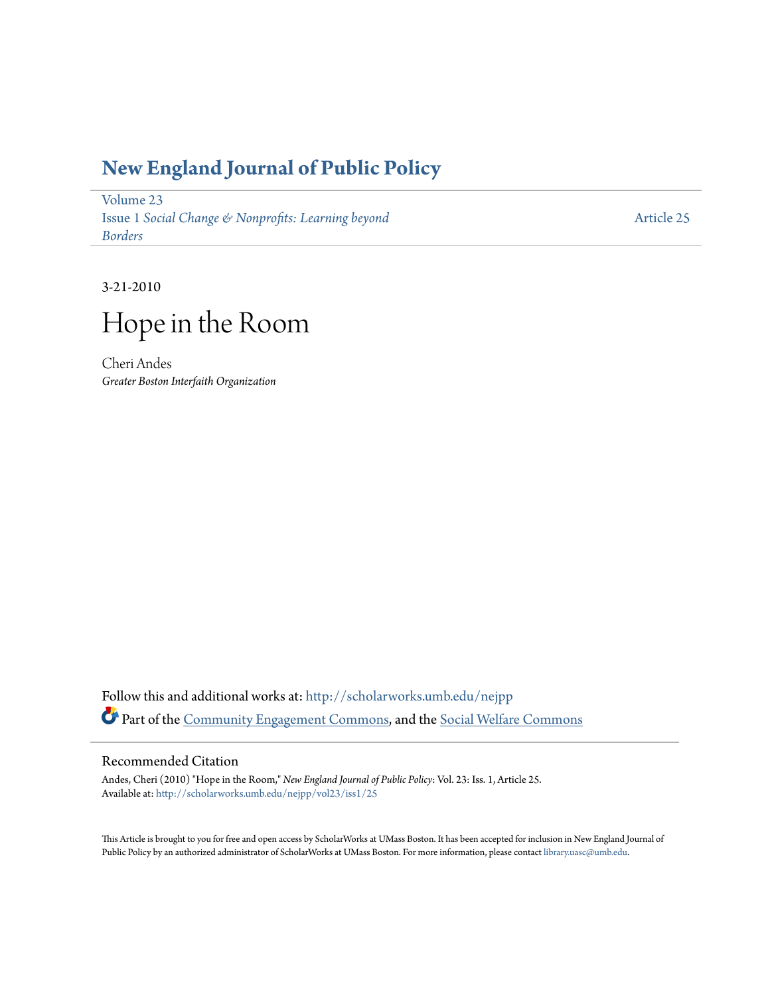## **[New England Journal of Public Policy](http://scholarworks.umb.edu/nejpp?utm_source=scholarworks.umb.edu%2Fnejpp%2Fvol23%2Fiss1%2F25&utm_medium=PDF&utm_campaign=PDFCoverPages)**

[Volume 23](http://scholarworks.umb.edu/nejpp/vol23?utm_source=scholarworks.umb.edu%2Fnejpp%2Fvol23%2Fiss1%2F25&utm_medium=PDF&utm_campaign=PDFCoverPages) Issue 1 *[Social Change & Nonprofits: Learning beyond](http://scholarworks.umb.edu/nejpp/vol23/iss1?utm_source=scholarworks.umb.edu%2Fnejpp%2Fvol23%2Fiss1%2F25&utm_medium=PDF&utm_campaign=PDFCoverPages) [Borders](http://scholarworks.umb.edu/nejpp/vol23/iss1?utm_source=scholarworks.umb.edu%2Fnejpp%2Fvol23%2Fiss1%2F25&utm_medium=PDF&utm_campaign=PDFCoverPages)*

[Article 25](http://scholarworks.umb.edu/nejpp/vol23/iss1/25?utm_source=scholarworks.umb.edu%2Fnejpp%2Fvol23%2Fiss1%2F25&utm_medium=PDF&utm_campaign=PDFCoverPages)

3-21-2010



Cheri Andes *Greater Boston Interfaith Organization*

Follow this and additional works at: [http://scholarworks.umb.edu/nejpp](http://scholarworks.umb.edu/nejpp?utm_source=scholarworks.umb.edu%2Fnejpp%2Fvol23%2Fiss1%2F25&utm_medium=PDF&utm_campaign=PDFCoverPages) Part of the [Community Engagement Commons](http://network.bepress.com/hgg/discipline/1028?utm_source=scholarworks.umb.edu%2Fnejpp%2Fvol23%2Fiss1%2F25&utm_medium=PDF&utm_campaign=PDFCoverPages), and the [Social Welfare Commons](http://network.bepress.com/hgg/discipline/401?utm_source=scholarworks.umb.edu%2Fnejpp%2Fvol23%2Fiss1%2F25&utm_medium=PDF&utm_campaign=PDFCoverPages)

## Recommended Citation

Andes, Cheri (2010) "Hope in the Room," *New England Journal of Public Policy*: Vol. 23: Iss. 1, Article 25. Available at: [http://scholarworks.umb.edu/nejpp/vol23/iss1/25](http://scholarworks.umb.edu/nejpp/vol23/iss1/25?utm_source=scholarworks.umb.edu%2Fnejpp%2Fvol23%2Fiss1%2F25&utm_medium=PDF&utm_campaign=PDFCoverPages)

This Article is brought to you for free and open access by ScholarWorks at UMass Boston. It has been accepted for inclusion in New England Journal of Public Policy by an authorized administrator of ScholarWorks at UMass Boston. For more information, please contact [library.uasc@umb.edu](mailto:library.uasc@umb.edu).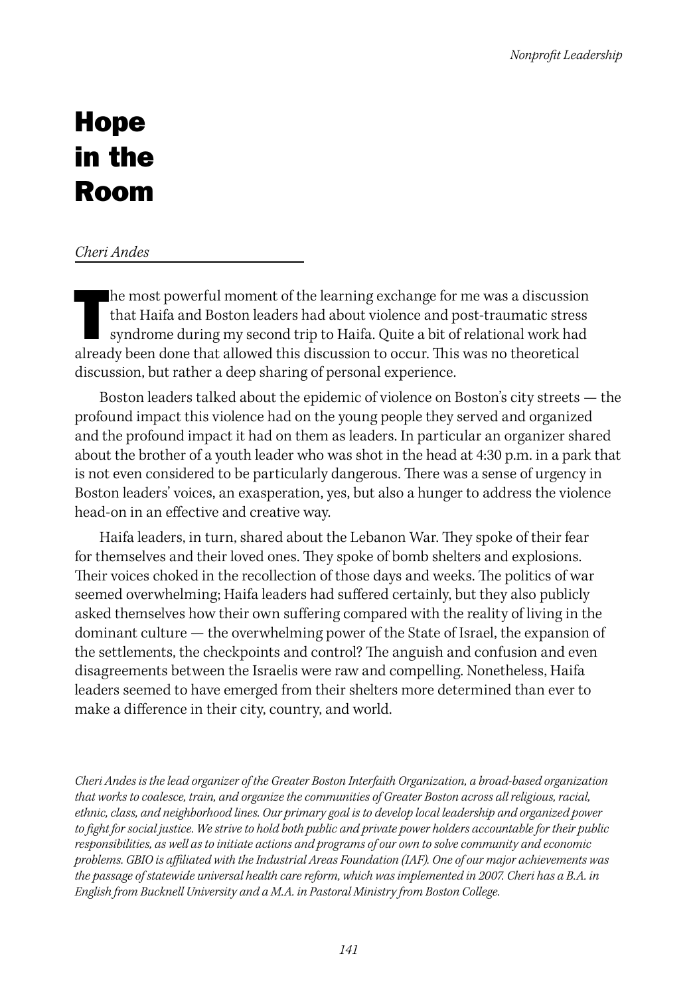## Hope in the Room

## *Cheri Andes*

he most powerful moment of the learning exchange for me was a discussion that Haifa and Boston leaders had about violence and post-traumatic stress syndrome during my second trip to Haifa. Quite a bit of relational work ha he most powerful moment of the learning exchange for me was a discussion that Haifa and Boston leaders had about violence and post-traumatic stress syndrome during my second trip to Haifa. Quite a bit of relational work had discussion, but rather a deep sharing of personal experience.

Boston leaders talked about the epidemic of violence on Boston's city streets — the profound impact this violence had on the young people they served and organized and the profound impact it had on them as leaders. In particular an organizer shared about the brother of a youth leader who was shot in the head at 4:30 p.m. in a park that is not even considered to be particularly dangerous. There was a sense of urgency in Boston leaders' voices, an exasperation, yes, but also a hunger to address the violence head-on in an effective and creative way.

Haifa leaders, in turn, shared about the Lebanon War. They spoke of their fear for themselves and their loved ones. They spoke of bomb shelters and explosions. Their voices choked in the recollection of those days and weeks. The politics of war seemed overwhelming; Haifa leaders had suffered certainly, but they also publicly asked themselves how their own suffering compared with the reality of living in the dominant culture — the overwhelming power of the State of Israel, the expansion of the settlements, the checkpoints and control? The anguish and confusion and even disagreements between the Israelis were raw and compelling. Nonetheless, Haifa leaders seemed to have emerged from their shelters more determined than ever to make a difference in their city, country, and world.

*Cheri Andes is the lead organizer of the Greater Boston Interfaith Organization, a broad-based organization that works to coalesce, train, and organize the communities of Greater Boston across all religious, racial, ethnic, class, and neighborhood lines. Our primary goal is to develop local leadership and organized power to fight for social justice. We strive to hold both public and private power holders accountable for their public responsibilities, as well as to initiate actions and programs of our own to solve community and economic problems. GBIO is affiliated with the Industrial Areas Foundation (IAF). One of our major achievements was the passage of statewide universal health care reform, which was implemented in 2007. Cheri has a B.A. in English from Bucknell University and a M.A. in Pastoral Ministry from Boston College.*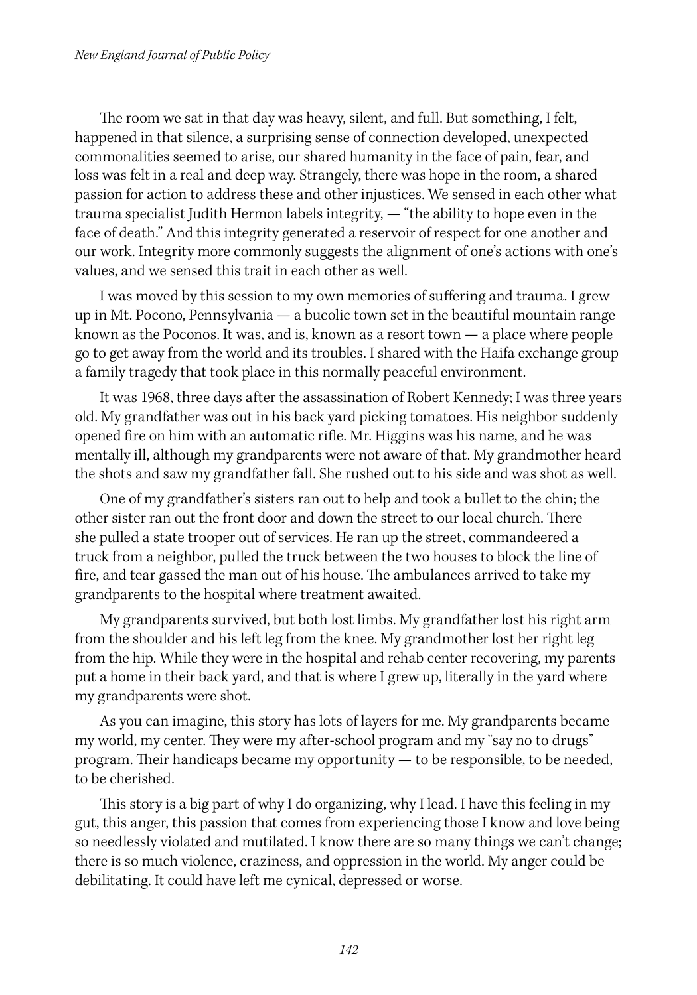The room we sat in that day was heavy, silent, and full. But something, I felt, happened in that silence, a surprising sense of connection developed, unexpected commonalities seemed to arise, our shared humanity in the face of pain, fear, and loss was felt in a real and deep way. Strangely, there was hope in the room, a shared passion for action to address these and other injustices. We sensed in each other what trauma specialist Judith Hermon labels integrity, — "the ability to hope even in the face of death." And this integrity generated a reservoir of respect for one another and our work. Integrity more commonly suggests the alignment of one's actions with one's values, and we sensed this trait in each other as well.

I was moved by this session to my own memories of suffering and trauma. I grew up in Mt. Pocono, Pennsylvania — a bucolic town set in the beautiful mountain range known as the Poconos. It was, and is, known as a resort town — a place where people go to get away from the world and its troubles. I shared with the Haifa exchange group a family tragedy that took place in this normally peaceful environment.

It was 1968, three days after the assassination of Robert Kennedy; I was three years old. My grandfather was out in his back yard picking tomatoes. His neighbor suddenly opened fire on him with an automatic rifle. Mr. Higgins was his name, and he was mentally ill, although my grandparents were not aware of that. My grandmother heard the shots and saw my grandfather fall. She rushed out to his side and was shot as well.

One of my grandfather's sisters ran out to help and took a bullet to the chin; the other sister ran out the front door and down the street to our local church. There she pulled a state trooper out of services. He ran up the street, commandeered a truck from a neighbor, pulled the truck between the two houses to block the line of fire, and tear gassed the man out of his house. The ambulances arrived to take my grandparents to the hospital where treatment awaited.

My grandparents survived, but both lost limbs. My grandfather lost his right arm from the shoulder and his left leg from the knee. My grandmother lost her right leg from the hip. While they were in the hospital and rehab center recovering, my parents put a home in their back yard, and that is where I grew up, literally in the yard where my grandparents were shot.

As you can imagine, this story has lots of layers for me. My grandparents became my world, my center. They were my after-school program and my "say no to drugs" program. Their handicaps became my opportunity — to be responsible, to be needed, to be cherished.

This story is a big part of why I do organizing, why I lead. I have this feeling in my gut, this anger, this passion that comes from experiencing those I know and love being so needlessly violated and mutilated. I know there are so many things we can't change; there is so much violence, craziness, and oppression in the world. My anger could be debilitating. It could have left me cynical, depressed or worse.